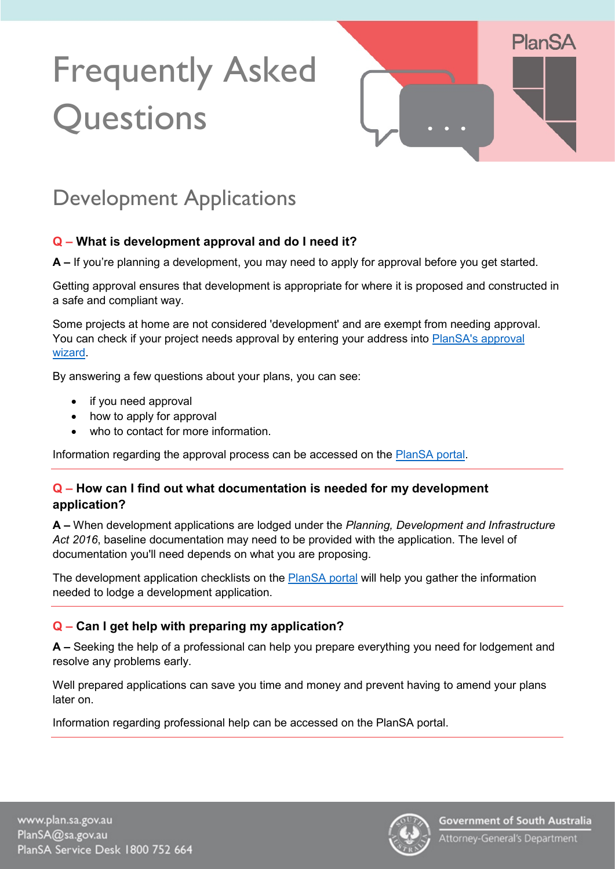# Frequently Asked **Questions**



# Development Applications

#### **Q – What is development approval and do I need it?**

**A –** If you're planning a development, you may need to apply for approval before you get started.

Getting approval ensures that development is appropriate for where it is proposed and constructed in a safe and compliant way.

Some projects at home are not considered 'development' and are exempt from needing approval. You can check if your project needs approval by entering your address into PlanSA's approval [wizard.](https://plan.sa.gov.au/development_applications/before_you_lodge/find_out_if_you_need_approval)

By answering a few questions about your plans, you can see:

- if you need approval
- how to apply for approval
- who to contact for more information.

Information regarding the approval process can be accessed on the [PlanSA portal.](https://plan.sa.gov.au/development_applications/getting_approval/the_approval_process/why_you_need_approval)

#### **Q – How can I find out what documentation is needed for my development application?**

**A –** When development applications are lodged under the *Planning, Development and Infrastructure Act 2016*, baseline documentation may need to be provided with the application. The level of documentation you'll need depends on what you are proposing.

The development application checklists on the **PlanSA** portal will help you gather the information needed to lodge a development application.

#### **Q – Can I get help with preparing my application?**

**A –** Seeking the help of a professional can help you prepare everything you need for lodgement and resolve any problems early.

Well prepared applications can save you time and money and prevent having to amend your plans later on.

Information regarding professional help can be accessed on the [PlanSA portal.](https://plan.sa.gov.au/development_applications/getting_approval/the_approval_process/getting_professional_help)

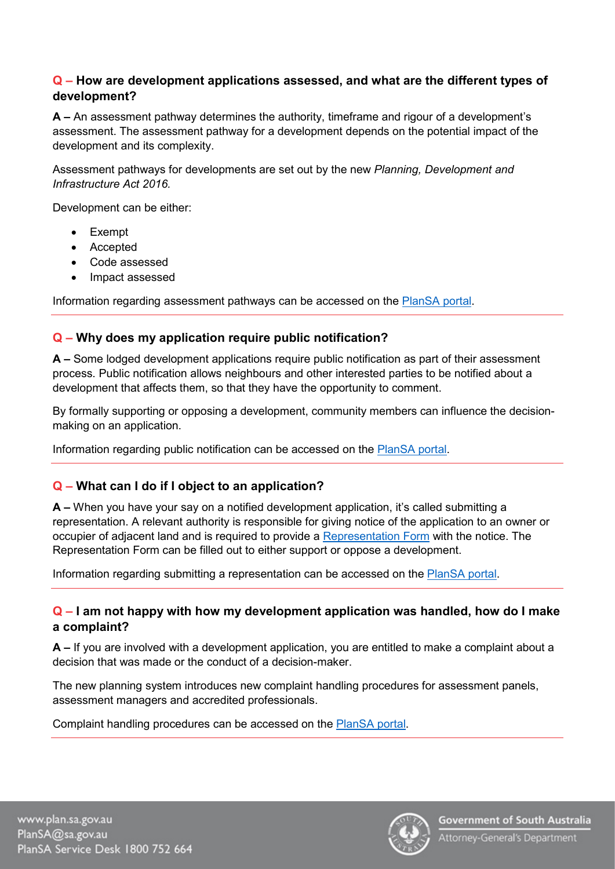#### **Q – How are development applications assessed, and what are the different types of development?**

**A –** An assessment pathway determines the authority, timeframe and rigour of a development's assessment. The assessment pathway for a development depends on the potential impact of the development and its complexity.

Assessment pathways for developments are set out by the new *Planning, Development and Infrastructure Act 2016.*

Development can be either:

- **Exempt**
- Accepted
- Code assessed
- Impact assessed

Information regarding assessment pathways can be accessed on the [PlanSA portal.](https://plan.sa.gov.au/our_planning_system/instruments/assessment_pathways)

## **Q – Why does my application require public notification?**

**A –** Some lodged development applications require public notification as part of their assessment process. Public notification allows neighbours and other interested parties to be notified about a development that affects them, so that they have the opportunity to comment.

By formally supporting or opposing a development, community members can influence the decisionmaking on an application.

Information regarding public notification can be accessed on the [PlanSA portal.](https://plan.sa.gov.au/development_applications/getting_approval/how_applications_are_assessed/public_notification)

## **Q – What can I do if I object to an application?**

**A –** When you have your say on a notified development application, it's called submitting a representation. A relevant authority is responsible for giving notice of the application to an owner or occupier of adjacent land and is required to provide a [Representation Form](https://plan.sa.gov.au/resources/forms/representation_on_application) with the notice. The Representation Form can be filled out to either support or oppose a development.

Information regarding submitting a representation can be accessed on the [PlanSA portal.](https://plan.sa.gov.au/have_your_say/notified_developments/how_to_have_your_say)

#### **Q – I am not happy with how my development application was handled, how do I make a complaint?**

**A –** If you are involved with a development application, you are entitled to make a complaint about a decision that was made or the conduct of a decision-maker.

The new planning system introduces new complaint handling procedures for assessment panels, assessment managers and accredited professionals.

Complaint handling procedures can be accessed on the [PlanSA portal.](https://plan.sa.gov.au/have_your_say/make_a_complaint)

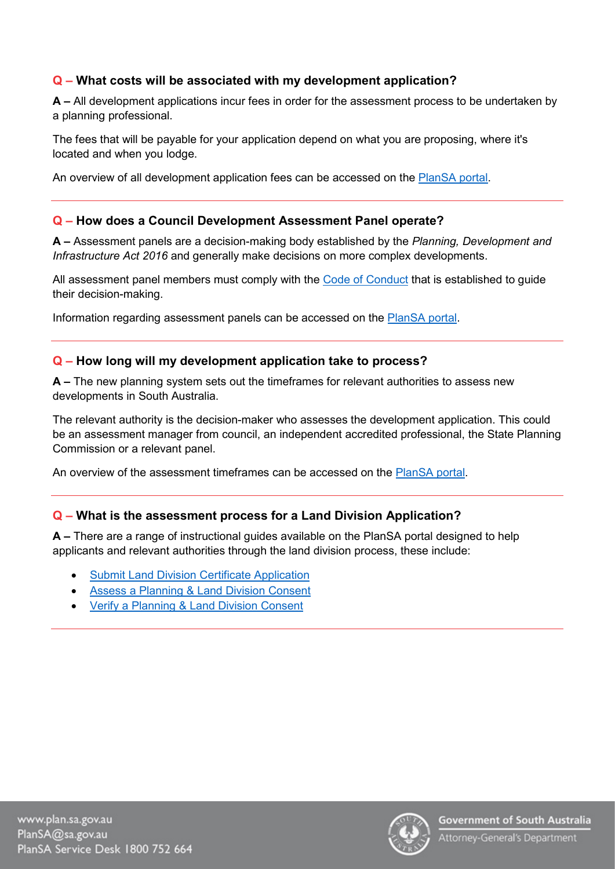#### **Q – What costs will be associated with my development application?**

**A –** All development applications incur fees in order for the assessment process to be undertaken by a planning professional.

The fees that will be payable for your application depend on what you are proposing, where it's located and when you lodge.

An overview of all development application fees can be accessed on the [PlanSA portal.](https://plan.sa.gov.au/development_applications/before_you_lodge/application_fees)

#### **Q – How does a Council Development Assessment Panel operate?**

**A –** Assessment panels are a decision-making body established by the *Planning, Development and Infrastructure Act 2016* and generally make decisions on more complex developments.

All assessment panel members must comply with the [Code of Conduct](https://plan.sa.gov.au/resources/codes_of_conduct/assessment_panel_code_of_conduct) that is established to guide their decision-making.

Information regarding assessment panels can be accessed on the [PlanSA portal.](https://plan.sa.gov.au/have_your_say/make_a_complaint/accordion_content/complaints_about_assessment_panels)

#### **Q – How long will my development application take to process?**

**A –** The new planning system sets out the timeframes for relevant authorities to assess new developments in South Australia.

The relevant authority is the decision-maker who assesses the development application. This could be an assessment manager from council, an independent accredited professional, the State Planning Commission or a relevant panel.

An overview of the assessment timeframes can be accessed on the [PlanSA portal.](https://plan.sa.gov.au/__data/assets/pdf_file/0010/698320/Fact_Sheet_-_Assessment_timeframes_in_the_new_planning_system.pdf)

#### **Q – What is the assessment process for a Land Division Application?**

**A –** There are a range of instructional guides available on the PlanSA portal designed to help applicants and relevant authorities through the land division process, these include:

- [Submit Land Division Certificate Application](https://plan.sa.gov.au/__data/assets/pdf_file/0011/691841/Module_16-1_Guide_-_Submit_Land_Division_Certificate_Application.pdf)
- [Assess a Planning & Land Division Consent](https://plan.sa.gov.au/__data/assets/pdf_file/0011/699896/Module_9.2_Guide_-_Assess_a_Planning_and_Land_Division_Consent.pdf)
- [Verify a Planning & Land Division Consent](https://plan.sa.gov.au/__data/assets/pdf_file/0007/699028/Module_7.2_Guide_-_Verify_a_Planning_and_Land_Division_Consent.pdf)

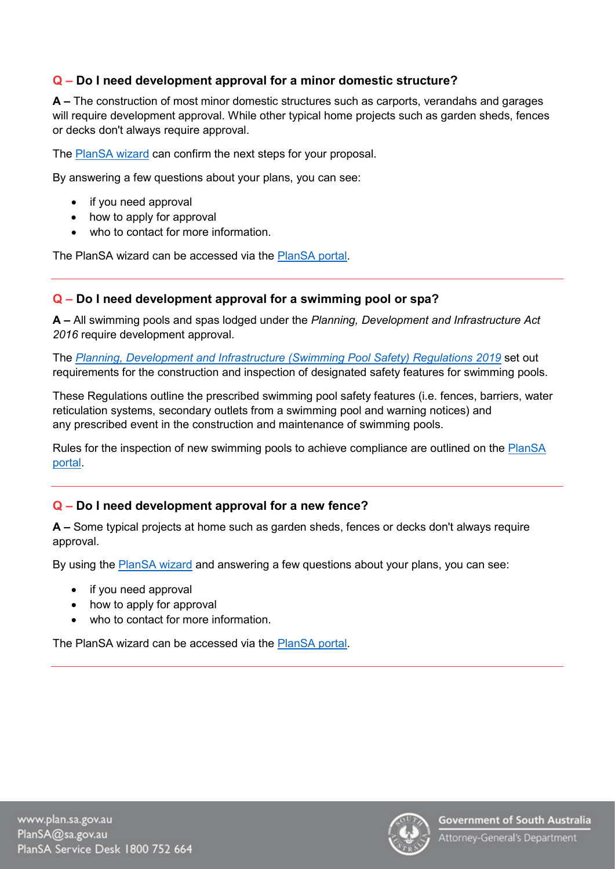#### **Q – Do I need development approval for a minor domestic structure?**

**A –** The construction of most minor domestic structures such as carports, verandahs and garages will require development approval. While other typical home projects such as garden sheds, fences or decks don't always require approval.

The [PlanSA wizard](https://plan.sa.gov.au/development_applications/before_you_lodge/find_out_if_you_need_approval) can confirm the next steps for your proposal.

By answering a few questions about your plans, you can see:

- if you need approval
- how to apply for approval
- who to contact for more information.

The PlanSA wizard can be accessed via the [PlanSA portal.](https://plan.sa.gov.au/development_applications/before_you_lodge/find_out_if_you_need_approval)

#### **Q – Do I need development approval for a swimming pool or spa?**

**A –** All swimming pools and spas lodged under the *Planning, Development and Infrastructure Act 2016* require development approval.

The *[Planning, Development and Infrastructure \(Swimming Pool Safety\) Regulations](https://www.legislation.sa.gov.au/LZ/C/R/Planning%20Development%20and%20Infrastructure%20(Swimming%20Pool%20Safety)%20Regulations%202019.aspx) 2019* set out requirements for the construction and inspection of designated safety features for swimming pools.

These Regulations outline the prescribed swimming pool safety features (i.e. fences, barriers, water reticulation systems, secondary outlets from a swimming pool and warning notices) and any prescribed event in the construction and maintenance of swimming pools.

Rules for the inspection of new swimming pools to achieve compliance are outlined on the [PlanSA](https://plan.sa.gov.au/resources/planning/practice_directions/practice_direction_8_inspection_policy_for_swimming_pools_2019)  [portal.](https://plan.sa.gov.au/resources/planning/practice_directions/practice_direction_8_inspection_policy_for_swimming_pools_2019)

#### **Q – Do I need development approval for a new fence?**

**A –** Some typical projects at home such as garden sheds, fences or decks don't always require approval.

By using the [PlanSA wizard](https://plan.sa.gov.au/development_applications/before_you_lodge/find_out_if_you_need_approval) and answering a few questions about your plans, you can see:

- if you need approval
- how to apply for approval
- who to contact for more information.

The PlanSA wizard can be accessed via the [PlanSA portal.](https://plan.sa.gov.au/development_applications/before_you_lodge/find_out_if_you_need_approval)